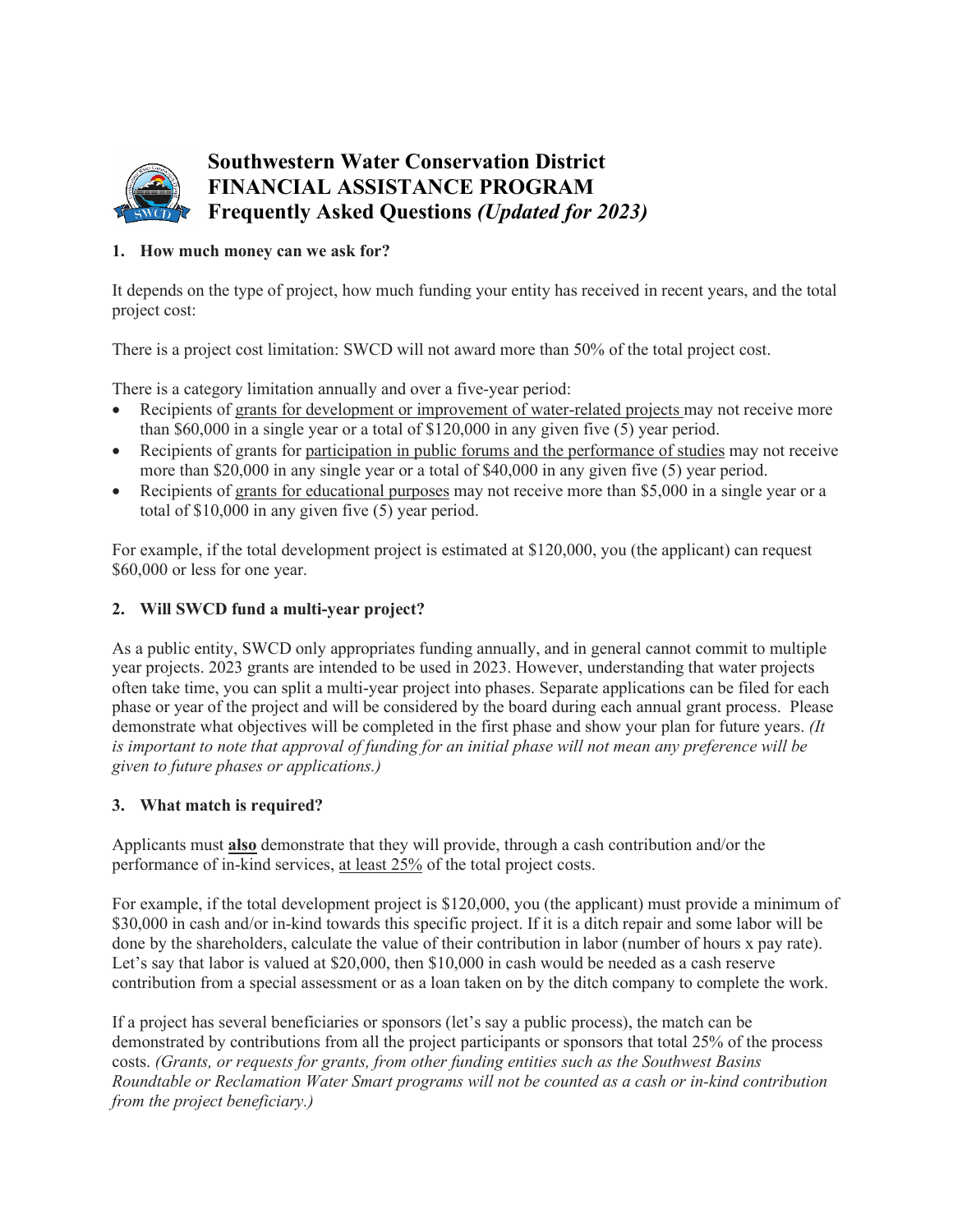

# **Southwestern Water Conservation District FINANCIAL ASSISTANCE PROGRAM Frequently Asked Questions** *(Updated for 2023)*

# **1. How much money can we ask for?**

It depends on the type of project, how much funding your entity has received in recent years, and the total project cost:

There is a project cost limitation: SWCD will not award more than 50% of the total project cost.

There is a category limitation annually and over a five-year period:

- Recipients of grants for development or improvement of water-related projects may not receive more than \$60,000 in a single year or a total of \$120,000 in any given five (5) year period.
- Recipients of grants for participation in public forums and the performance of studies may not receive more than \$20,000 in any single year or a total of \$40,000 in any given five (5) year period.
- Recipients of grants for educational purposes may not receive more than \$5,000 in a single year or a total of \$10,000 in any given five (5) year period.

For example, if the total development project is estimated at \$120,000, you (the applicant) can request \$60,000 or less for one year.

## **2. Will SWCD fund a multi-year project?**

As a public entity, SWCD only appropriates funding annually, and in general cannot commit to multiple year projects. 2023 grants are intended to be used in 2023. However, understanding that water projects often take time, you can split a multi-year project into phases. Separate applications can be filed for each phase or year of the project and will be considered by the board during each annual grant process. Please demonstrate what objectives will be completed in the first phase and show your plan for future years. *(It is important to note that approval of funding for an initial phase will not mean any preference will be given to future phases or applications.)*

# **3. What match is required?**

Applicants must **also** demonstrate that they will provide, through a cash contribution and/or the performance of in-kind services, at least 25% of the total project costs.

For example, if the total development project is \$120,000, you (the applicant) must provide a minimum of \$30,000 in cash and/or in-kind towards this specific project. If it is a ditch repair and some labor will be done by the shareholders, calculate the value of their contribution in labor (number of hours x pay rate). Let's say that labor is valued at \$20,000, then \$10,000 in cash would be needed as a cash reserve contribution from a special assessment or as a loan taken on by the ditch company to complete the work.

If a project has several beneficiaries or sponsors (let's say a public process), the match can be demonstrated by contributions from all the project participants or sponsors that total 25% of the process costs. *(Grants, or requests for grants, from other funding entities such as the Southwest Basins Roundtable or Reclamation Water Smart programs will not be counted as a cash or in-kind contribution from the project beneficiary.)*